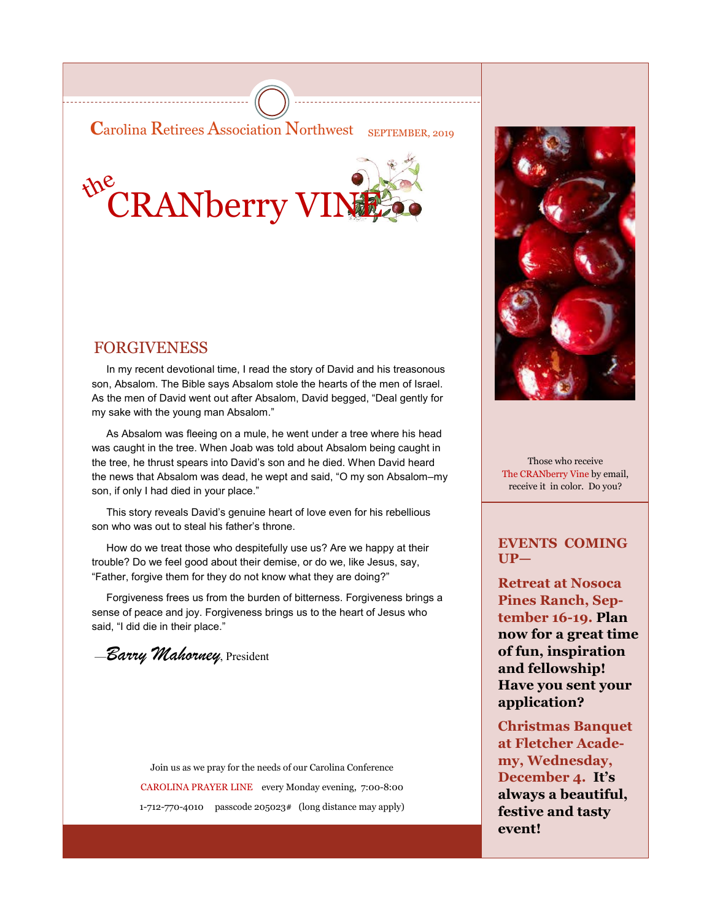**Carolina Retirees Association Northwest** SEPTEMBER, 2019



### FORGIVENESS

 In my recent devotional time, I read the story of David and his treasonous son, Absalom. The Bible says Absalom stole the hearts of the men of Israel. As the men of David went out after Absalom, David begged, "Deal gently for my sake with the young man Absalom."

 As Absalom was fleeing on a mule, he went under a tree where his head was caught in the tree. When Joab was told about Absalom being caught in the tree, he thrust spears into David's son and he died. When David heard the news that Absalom was dead, he wept and said, "O my son Absalom–my son, if only I had died in your place."

 This story reveals David's genuine heart of love even for his rebellious son who was out to steal his father's throne.

 How do we treat those who despitefully use us? Are we happy at their trouble? Do we feel good about their demise, or do we, like Jesus, say, "Father, forgive them for they do not know what they are doing?"

 Forgiveness frees us from the burden of bitterness. Forgiveness brings a sense of peace and joy. Forgiveness brings us to the heart of Jesus who said, "I did die in their place."

—*Barry Mahorney*, President

Join us as we pray for the needs of our Carolina Conference CAROLINA PRAYER LINE every Monday evening, 7:00-8:00 1-712-770-4010 passcode 205023# (long distance may apply)



Those who receive The CRANberry Vine by email, receive it in color. Do you?

#### **EVENTS COMING UP—**

**Retreat at Nosoca Pines Ranch, September 16-19. Plan now for a great time of fun, inspiration and fellowship! Have you sent your application?**

**Christmas Banquet at Fletcher Academy, Wednesday, December 4. It's always a beautiful, festive and tasty event!**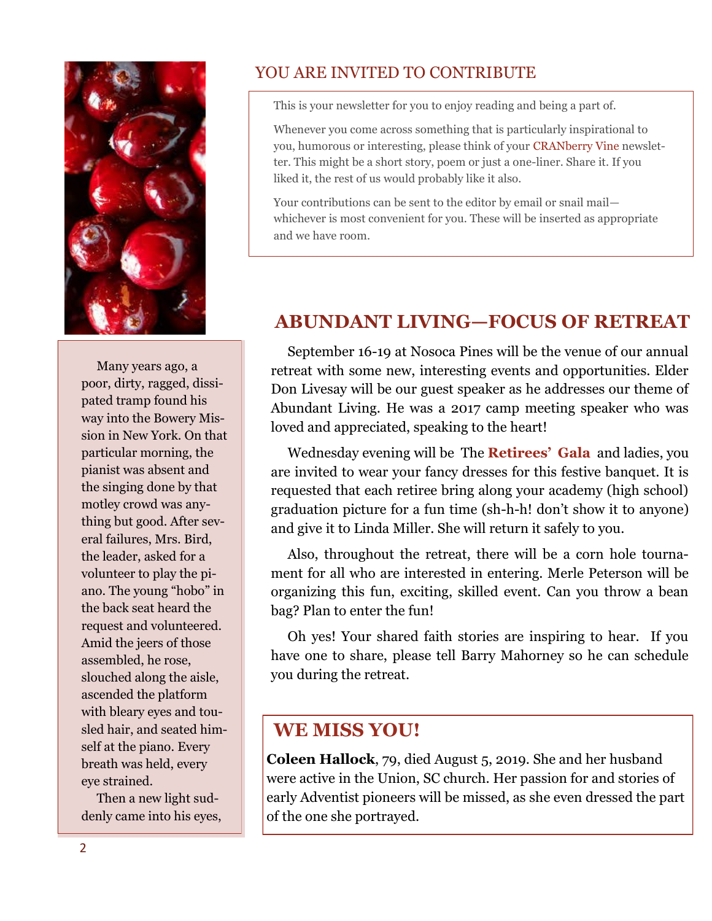

 Many years ago, a poor, dirty, ragged, dissipated tramp found his way into the Bowery Mission in New York. On that particular morning, the pianist was absent and the singing done by that motley crowd was anything but good. After several failures, Mrs. Bird, the leader, asked for a volunteer to play the piano. The young "hobo" in the back seat heard the request and volunteered. Amid the jeers of those assembled, he rose, slouched along the aisle, ascended the platform with bleary eyes and tousled hair, and seated himself at the piano. Every breath was held, every eye strained.

 Then a new light suddenly came into his eyes,

### YOU ARE INVITED TO CONTRIBUTE

This is your newsletter for you to enjoy reading and being a part of.

Whenever you come across something that is particularly inspirational to you, humorous or interesting, please think of your CRANberry Vine newsletter. This might be a short story, poem or just a one-liner. Share it. If you liked it, the rest of us would probably like it also.

Your contributions can be sent to the editor by email or snail mail whichever is most convenient for you. These will be inserted as appropriate and we have room.

## **ABUNDANT LIVING—FOCUS OF RETREAT**

 September 16-19 at Nosoca Pines will be the venue of our annual retreat with some new, interesting events and opportunities. Elder Don Livesay will be our guest speaker as he addresses our theme of Abundant Living. He was a 2017 camp meeting speaker who was loved and appreciated, speaking to the heart!

 Wednesday evening will be The **Retirees' Gala** and ladies, you are invited to wear your fancy dresses for this festive banquet. It is requested that each retiree bring along your academy (high school) graduation picture for a fun time (sh-h-h! don't show it to anyone) and give it to Linda Miller. She will return it safely to you.

 Also, throughout the retreat, there will be a corn hole tournament for all who are interested in entering. Merle Peterson will be organizing this fun, exciting, skilled event. Can you throw a bean bag? Plan to enter the fun!

 Oh yes! Your shared faith stories are inspiring to hear. If you have one to share, please tell Barry Mahorney so he can schedule you during the retreat.

## **WE MISS YOU!**

**Coleen Hallock**, 79, died August 5, 2019. She and her husband were active in the Union, SC church. Her passion for and stories of early Adventist pioneers will be missed, as she even dressed the part of the one she portrayed.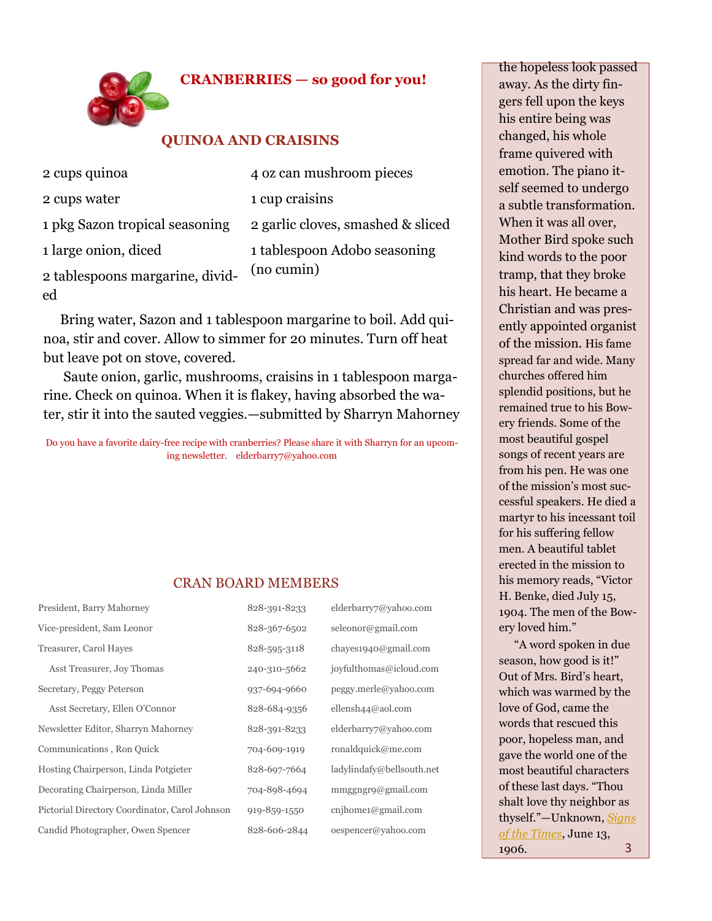### **CRANBERRIES — so good for you!**



#### **QUINOA AND CRAISINS**

| 2 cups quinoa                   | 4 oz can mushroom pieces          |
|---------------------------------|-----------------------------------|
| 2 cups water                    | 1 cup craisins                    |
| 1 pkg Sazon tropical seasoning  | 2 garlic cloves, smashed & sliced |
| 1 large onion, diced            | 1 tablespoon Adobo seasoning      |
| 2 tablespoons margarine, divid- | (no cumin)                        |
| ed                              |                                   |

 Bring water, Sazon and 1 tablespoon margarine to boil. Add quinoa, stir and cover. Allow to simmer for 20 minutes. Turn off heat but leave pot on stove, covered.

 Saute onion, garlic, mushrooms, craisins in 1 tablespoon margarine. Check on quinoa. When it is flakey, having absorbed the water, stir it into the sauted veggies.—submitted by Sharryn Mahorney

Do you have a favorite dairy-free recipe with cranberries? Please share it with Sharryn for an upcoming newsletter. elderbarry7@yahoo.com

#### CRAN BOARD MEMBERS

| President, Barry Mahorney                      | 828-391-8233 | elderbarry7@yahoo.com     |
|------------------------------------------------|--------------|---------------------------|
| Vice-president, Sam Leonor                     | 828-367-6502 | seleonor@gmail.com        |
| Treasurer, Carol Hayes                         | 828-595-3118 | chayes1940@gmail.com      |
| Asst Treasurer, Joy Thomas                     | 240-310-5662 | joyfulthomas@icloud.com   |
| Secretary, Peggy Peterson                      | 937-694-9660 | peggy.merle@yahoo.com     |
| Asst Secretary, Ellen O'Connor                 | 828-684-9356 | ellensh $44@$ aol.com     |
| Newsletter Editor, Sharryn Mahorney            | 828-391-8233 | elderbarry7@yahoo.com     |
| Communications, Ron Quick                      | 704-609-1919 | ronaldquick@me.com        |
| Hosting Chairperson, Linda Potgieter           | 828-697-7664 | ladylindafy@bellsouth.net |
| Decorating Chairperson, Linda Miller           | 704-898-4694 | mmggngr9@gmail.com        |
| Pictorial Directory Coordinator, Carol Johnson | 919-859-1550 | cnihome1@gmail.com        |
| Candid Photographer, Owen Spencer              | 828-606-2844 | oespencer@yahoo.com       |

the hopeless look passed away. As the dirty fingers fell upon the keys his entire being was changed, his whole frame quivered with emotion. The piano itself seemed to undergo a subtle transformation. When it was all over, Mother Bird spoke such kind words to the poor tramp, that they broke his heart. He became a Christian and was presently appointed organist of the mission. His fame spread far and wide. Many churches offered him splendid positions, but he remained true to his Bowery friends. Some of the most beautiful gospel songs of recent years are from his pen. He was one of the mission's most successful speakers. He died a martyr to his incessant toil for his suffering fellow men. A beautiful tablet erected in the mission to his memory reads, "Victor H. Benke, died July 15, 1904. The men of the Bowery loved him."

 "A word spoken in due season, how good is it!" Out of Mrs. Bird's heart, which was warmed by the love of God, came the words that rescued this poor, hopeless man, and gave the world one of the most beautiful characters of these last days. "Thou shalt love thy neighbor as thyself."—Unknown, *[Signs](https://pacificpress.us5.list-manage.com/track/click?u=ee1dbfa4471ec1908fbebbebb&id=0374c018b0&e=cfded3cb20)  [of the Times](https://pacificpress.us5.list-manage.com/track/click?u=ee1dbfa4471ec1908fbebbebb&id=0374c018b0&e=cfded3cb20)*, June 13, 1906. 3